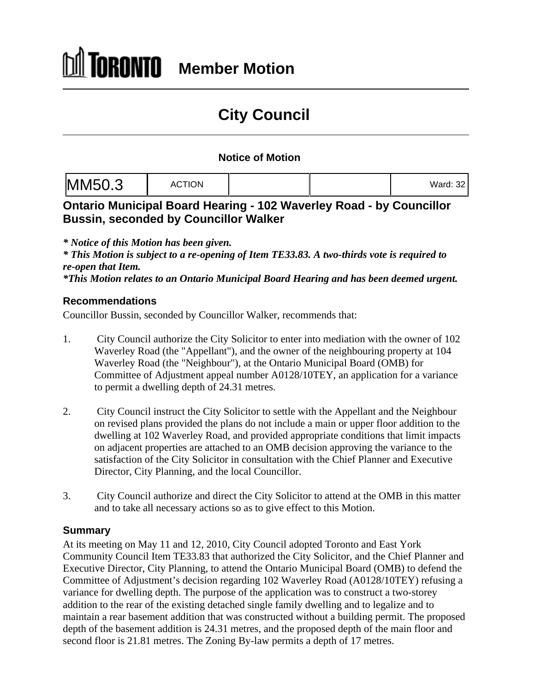# **City Council**

#### **Notice of Motion**

|--|

### **Ontario Municipal Board Hearing - 102 Waverley Road - by Councillor Bussin, seconded by Councillor Walker**

*\* Notice of this Motion has been given.*

*\* This Motion is subject to a re-opening of Item TE33.83. A two-thirds vote is required to re-open that Item.*

*\*This Motion relates to an Ontario Municipal Board Hearing and has been deemed urgent.*

#### **Recommendations**

Councillor Bussin, seconded by Councillor Walker, recommends that:

- 1. City Council authorize the City Solicitor to enter into mediation with the owner of 102 Waverley Road (the "Appellant"), and the owner of the neighbouring property at 104 Waverley Road (the "Neighbour"), at the Ontario Municipal Board (OMB) for Committee of Adjustment appeal number A0128/10TEY, an application for a variance to permit a dwelling depth of 24.31 metres.
- 2. City Council instruct the City Solicitor to settle with the Appellant and the Neighbour on revised plans provided the plans do not include a main or upper floor addition to the dwelling at 102 Waverley Road, and provided appropriate conditions that limit impacts on adjacent properties are attached to an OMB decision approving the variance to the satisfaction of the City Solicitor in consultation with the Chief Planner and Executive Director, City Planning, and the local Councillor.
- 3. City Council authorize and direct the City Solicitor to attend at the OMB in this matter and to take all necessary actions so as to give effect to this Motion.

#### **Summary**

At its meeting on May 11 and 12, 2010, City Council adopted Toronto and East York Community Council Item TE33.83 that authorized the City Solicitor, and the Chief Planner and Executive Director, City Planning, to attend the Ontario Municipal Board (OMB) to defend the Committee of Adjustment's decision regarding 102 Waverley Road (A0128/10TEY) refusing a variance for dwelling depth. The purpose of the application was to construct a two-storey addition to the rear of the existing detached single family dwelling and to legalize and to maintain a rear basement addition that was constructed without a building permit. The proposed depth of the basement addition is 24.31 metres, and the proposed depth of the main floor and second floor is 21.81 metres. The Zoning By-law permits a depth of 17 metres.